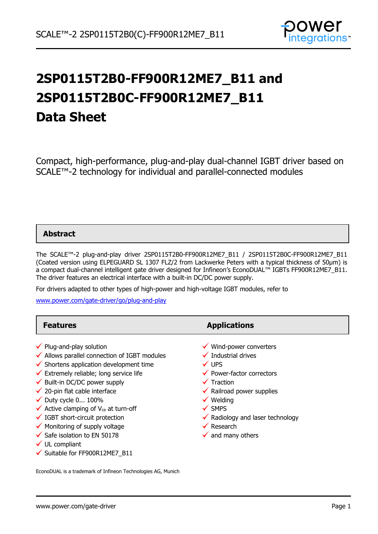

# **2SP0115T2B0-FF900R12ME7\_B11 and 2SP0115T2B0C-FF900R12ME7\_B11 Data Sheet**

Compact, high-performance, plug-and-play dual-channel IGBT driver based on SCALE™-2 technology for individual and parallel-connected modules

### **Abstract**

The SCALE™-2 plug-and-play driver 2SP0115T2B0-FF900R12ME7\_B11 / 2SP0115T2B0C-FF900R12ME7\_B11 (Coated version using ELPEGUARD SL 1307 FLZ/2 from Lackwerke Peters with a typical thickness of 50µm) is a compact dual-channel intelligent gate driver designed for Infineon's EconoDUAL™ IGBTs FF900R12ME7\_B11. The driver features an electrical interface with a built-in DC/DC power supply.

For drivers adapted to other types of high-power and high-voltage IGBT modules, refer to

[www.power.com/gate-driver/go/plug-and-play](http://www.power.com/gate-driver/go/plug-and-play)

| <b>Features</b>                                                                                                                                                                                                                                                                                                                                                                                                                                                                                                                                                                                          | <b>Applications</b>                                                                                                                                                                                                                                                                                                                       |
|----------------------------------------------------------------------------------------------------------------------------------------------------------------------------------------------------------------------------------------------------------------------------------------------------------------------------------------------------------------------------------------------------------------------------------------------------------------------------------------------------------------------------------------------------------------------------------------------------------|-------------------------------------------------------------------------------------------------------------------------------------------------------------------------------------------------------------------------------------------------------------------------------------------------------------------------------------------|
| $\checkmark$ Plug-and-play solution<br>$\checkmark$ Allows parallel connection of IGBT modules<br>$\checkmark$ Shortens application development time<br>$\checkmark$ Extremely reliable; long service life<br>$\checkmark$ Built-in DC/DC power supply<br>$\checkmark$ 20-pin flat cable interface<br>$\checkmark$ Duty cycle 0 100%<br>$\checkmark$ Active clamping of V <sub>ce</sub> at turn-off<br>$\checkmark$ IGBT short-circuit protection<br>$\checkmark$ Monitoring of supply voltage<br>$\checkmark$ Safe isolation to EN 50178<br>$\checkmark$ UL compliant<br>√ Suitable for FF900R12ME7 B11 | Wind-power converters<br>$\checkmark$ Industrial drives<br>$\checkmark$ UPS<br>$\checkmark$ Power-factor correctors<br>$\checkmark$ Traction<br>$\checkmark$ Railroad power supplies<br>$\checkmark$ Welding<br>$\checkmark$ SMPS<br>$\checkmark$ Radiology and laser technology<br>$\checkmark$ Research<br>$\checkmark$ and many others |

EconoDUAL is a trademark of Infineon Technologies AG, Munich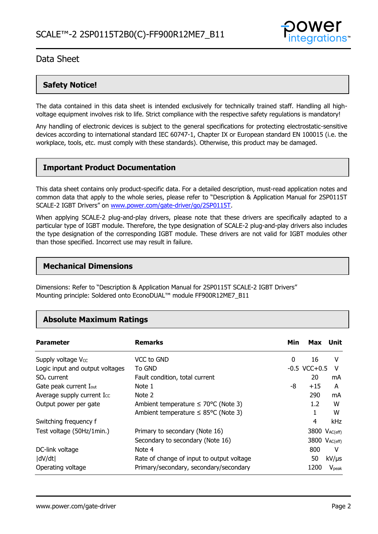

### **Safety Notice!**

The data contained in this data sheet is intended exclusively for technically trained staff. Handling all highvoltage equipment involves risk to life. Strict compliance with the respective safety regulations is mandatory!

Any handling of electronic devices is subject to the general specifications for protecting electrostatic-sensitive devices according to international standard IEC 60747-1, Chapter IX or European standard EN 100015 (i.e. the workplace, tools, etc. must comply with these standards). Otherwise, this product may be damaged.

### **Important Product Documentation**

This data sheet contains only product-specific data. For a detailed description, must-read application notes and common data that apply to the whole series, please refer to "Description & Application Manual for 2SP0115T SCALE-2 IGBT Drivers" on [www.power.com/gate-driver/go/2SP0115T.](http://www.power.com/gate-driver/go/2SP0115T)

When applying SCALE-2 plug-and-play drivers, please note that these drivers are specifically adapted to a particular type of IGBT module. Therefore, the type designation of SCALE-2 plug-and-play drivers also includes the type designation of the corresponding IGBT module. These drivers are not valid for IGBT modules other than those specified. Incorrect use may result in failure.

### **Mechanical Dimensions**

Dimensions: Refer to "Description & Application Manual for 2SP0115T SCALE-2 IGBT Drivers" Mounting principle: Soldered onto EconoDUAL™ module FF900R12ME7\_B11

### **Absolute Maximum Ratings**

| <b>Parameter</b>                   | <b>Remarks</b>                                   | Min | Max                       | Unit              |
|------------------------------------|--------------------------------------------------|-----|---------------------------|-------------------|
| Supply voltage V <sub>cc</sub>     | VCC to GND                                       | 0   | 16                        | v                 |
| Logic input and output voltages    | To GND                                           |     | $-0.5$ VCC $+0.5$         | V                 |
| $SOx$ current                      | Fault condition, total current                   |     | 20                        | mA                |
| Gate peak current I <sub>out</sub> | Note 1                                           | -8  | $+15$                     | A                 |
| Average supply current Icc         | Note 2                                           |     | 290                       | mA                |
| Output power per gate              | Ambient temperature $\leq 70^{\circ}$ C (Note 3) |     | 1.2 <sub>2</sub>          | w                 |
|                                    | Ambient temperature $\leq$ 85°C (Note 3)         |     |                           | W                 |
| Switching frequency f              |                                                  |     | 4                         | kHz               |
| Test voltage (50Hz/1min.)          | Primary to secondary (Note 16)                   |     | 3800 V <sub>AC(eff)</sub> |                   |
|                                    | Secondary to secondary (Note 16)                 |     | 3800 V <sub>AC(eff)</sub> |                   |
| DC-link voltage                    | Note 4                                           |     | 800                       | v                 |
| dV/dt                              | Rate of change of input to output voltage        |     | 50                        | $kV/\mu s$        |
| Operating voltage                  | Primary/secondary, secondary/secondary           |     | 1200                      | V <sub>peak</sub> |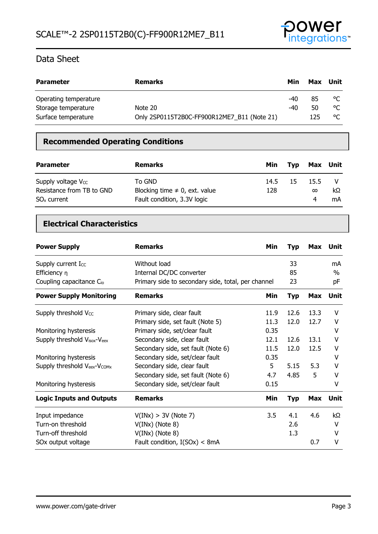

| <b>Parameter</b>      | <b>Remarks</b>                              | Min | Max | Unit |
|-----------------------|---------------------------------------------|-----|-----|------|
| Operating temperature |                                             | -40 | 85  | °C   |
| Storage temperature   | Note 20                                     | -40 | 50  | °C   |
| Surface temperature   | Only 2SP0115T2B0C-FF900R12ME7 B11 (Note 21) |     | 125 | °C   |

### **Recommended Operating Conditions**

| <b>Parameter</b>                                                             | <b>Remarks</b>                                                              | Min         | Tvp | Max Unit              |          |
|------------------------------------------------------------------------------|-----------------------------------------------------------------------------|-------------|-----|-----------------------|----------|
| Supply voltage V <sub>cc</sub><br>Resistance from TB to GND<br>$SOx$ current | To GND<br>Blocking time $\neq$ 0, ext. value<br>Fault condition, 3.3V logic | 14.5<br>128 | -15 | 15.5<br>$\infty$<br>4 | kΩ<br>mA |

### **Electrical Characteristics**

| <b>Power Supply</b>                  | <b>Remarks</b>                                     | Min  | <b>Typ</b> |            | Max Unit |
|--------------------------------------|----------------------------------------------------|------|------------|------------|----------|
| Supply current Icc                   | Without load                                       |      | 33         |            | mA       |
| Efficiency $\eta$                    | Internal DC/DC converter                           |      | 85         |            | $\%$     |
| Coupling capacitance C <sub>io</sub> | Primary side to secondary side, total, per channel |      | 23         |            | рF       |
| <b>Power Supply Monitoring</b>       | <b>Remarks</b>                                     | Min  | <b>Typ</b> | <b>Max</b> | Unit     |
| Supply threshold Vcc                 | Primary side, clear fault                          | 11.9 | 12.6       | 13.3       | v        |
|                                      | Primary side, set fault (Note 5)                   | 11.3 | 12.0       | 12.7       | v        |
| Monitoring hysteresis                | Primary side, set/clear fault                      | 0.35 |            |            | v        |
| Supply threshold Visox-Veex          | Secondary side, clear fault                        | 12.1 | 12.6       | 13.1       | ۷        |
|                                      | Secondary side, set fault (Note 6)                 | 11.5 | 12.0       | 12.5       | v        |
| Monitoring hysteresis                | Secondary side, set/clear fault                    | 0.35 |            |            | v        |
| Supply threshold Veex-Vcomx          | Secondary side, clear fault                        | 5    | 5.15       | 5.3        | v        |
|                                      | Secondary side, set fault (Note 6)                 | 4.7  | 4.85       | 5          | v        |
| Monitoring hysteresis                | Secondary side, set/clear fault                    | 0.15 |            |            | ۷        |
| <b>Logic Inputs and Outputs</b>      | <b>Remarks</b>                                     | Min  | <b>Typ</b> | Max        | Unit     |
| Input impedance                      | V(INx) > 3V (Note 7)                               | 3.5  | 4.1        | 4.6        | kΩ       |
| Turn-on threshold                    | $V(INx)$ (Note 8)                                  |      | 2.6        |            | v        |
| Turn-off threshold                   | $V(INx)$ (Note 8)                                  |      | 1.3        |            | v        |
| SOx output voltage                   | Fault condition, $I(SOx) < 8mA$                    |      |            | 0.7        | ۷        |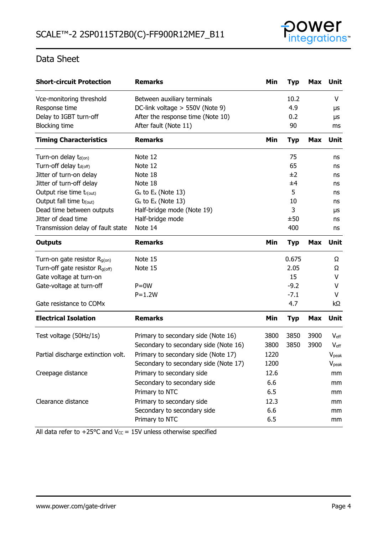

| <b>Short-circuit Protection</b>            | <b>Remarks</b>                        | Min  | <b>Typ</b> | Max        | Unit              |
|--------------------------------------------|---------------------------------------|------|------------|------------|-------------------|
| Vce-monitoring threshold                   | Between auxiliary terminals           |      | 10.2       |            | V                 |
| Response time                              | DC-link voltage > 550V (Note 9)       |      | 4.9        |            | μs                |
| Delay to IGBT turn-off                     | After the response time (Note 10)     |      | 0.2        |            | μs                |
| <b>Blocking time</b>                       | After fault (Note 11)                 |      | 90         |            | ms                |
| <b>Timing Characteristics</b>              | <b>Remarks</b>                        | Min  | <b>Typ</b> | <b>Max</b> | Unit              |
| Turn-on delay t <sub>d(on)</sub>           | Note 12                               |      | 75         |            | ns                |
| Turn-off delay t <sub>d(off)</sub>         | Note 12                               |      | 65         |            | ns                |
| Jitter of turn-on delay                    | Note 18                               |      | ±2         |            | ns                |
| Jitter of turn-off delay                   | Note 18                               |      | ±4         |            | ns                |
| Output rise time tr(out)                   | $G_x$ to $E_x$ (Note 13)              |      | 5          |            | ns                |
| Output fall time t <sub>f(out)</sub>       | $G_x$ to $E_x$ (Note 13)              |      | 10         |            | ns                |
| Dead time between outputs                  | Half-bridge mode (Note 19)            |      | 3          |            | μs                |
| Jitter of dead time                        | Half-bridge mode                      |      | ±50        |            | ns                |
| Transmission delay of fault state          | Note 14                               |      | 400        |            | ns                |
| <b>Outputs</b>                             | <b>Remarks</b>                        | Min  | <b>Typ</b> | <b>Max</b> | <b>Unit</b>       |
| Turn-on gate resistor $R_{g(on)}$          | Note 15                               |      | 0.675      |            | Ω                 |
| Turn-off gate resistor R <sub>g(off)</sub> | Note 15                               |      | 2.05       |            | Ω                 |
| Gate voltage at turn-on                    |                                       |      | 15         |            | V                 |
| Gate-voltage at turn-off                   | $P = 0W$                              |      | $-9.2$     |            | v                 |
|                                            | $P = 1.2W$                            |      | $-7.1$     |            | V                 |
| Gate resistance to COMx                    |                                       |      | 4.7        |            | kΩ                |
| <b>Electrical Isolation</b>                | <b>Remarks</b>                        | Min  | <b>Typ</b> | <b>Max</b> | <b>Unit</b>       |
| Test voltage (50Hz/1s)                     | Primary to secondary side (Note 16)   | 3800 | 3850       | 3900       | $V_{\text{eff}}$  |
|                                            | Secondary to secondary side (Note 16) | 3800 | 3850       | 3900       | $V_{\text{eff}}$  |
| Partial discharge extinction volt.         | Primary to secondary side (Note 17)   | 1220 |            |            | V <sub>peak</sub> |
|                                            | Secondary to secondary side (Note 17) | 1200 |            |            | <b>V</b> peak     |
| Creepage distance                          | Primary to secondary side             | 12.6 |            |            | mm                |
|                                            | Secondary to secondary side           | 6.6  |            |            | mm                |
|                                            | Primary to NTC                        | 6.5  |            |            | mm                |
| Clearance distance                         | Primary to secondary side             | 12.3 |            |            | mm                |
|                                            | Secondary to secondary side           | 6.6  |            |            | mm                |
|                                            | Primary to NTC                        | 6.5  |            |            | mm                |

All data refer to +25 $\degree$ C and V $_{\text{CC}}$  = 15V unless otherwise specified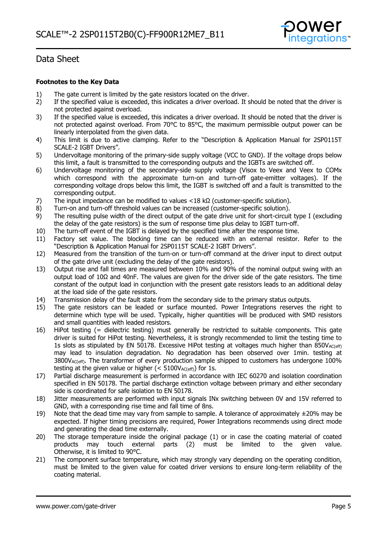

### **Footnotes to the Key Data**

- 1) The gate current is limited by the gate resistors located on the driver.
- 2) If the specified value is exceeded, this indicates a driver overload. It should be noted that the driver is not protected against overload.
- 3) If the specified value is exceeded, this indicates a driver overload. It should be noted that the driver is not protected against overload. From 70°C to 85°C, the maximum permissible output power can be linearly interpolated from the given data.
- 4) This limit is due to active clamping. Refer to the "Description & Application Manual for 2SP0115T SCALE-2 IGBT Drivers".
- 5) Undervoltage monitoring of the primary-side supply voltage (VCC to GND). If the voltage drops below this limit, a fault is transmitted to the corresponding outputs and the IGBTs are switched off.
- 6) Undervoltage monitoring of the secondary-side supply voltage (Visox to Veex and Veex to COMx which correspond with the approximate turn-on and turn-off gate-emitter voltages). If the corresponding voltage drops below this limit, the IGBT is switched off and a fault is transmitted to the corresponding output.
- 7) The input impedance can be modified to values <18 kΩ (customer-specific solution).
- 8) Turn-on and turn-off threshold values can be increased (customer-specific solution).
- 9) The resulting pulse width of the direct output of the gate drive unit for short-circuit type I (excluding the delay of the gate resistors) is the sum of response time plus delay to IGBT turn-off.
- 10) The turn-off event of the IGBT is delayed by the specified time after the response time.
- 11) Factory set value. The blocking time can be reduced with an external resistor. Refer to the "Description & Application Manual for 2SP0115T SCALE-2 IGBT Drivers".
- 12) Measured from the transition of the turn-on or turn-off command at the driver input to direct output of the gate drive unit (excluding the delay of the gate resistors).
- 13) Output rise and fall times are measured between 10% and 90% of the nominal output swing with an output load of 10Ω and 40nF. The values are given for the driver side of the gate resistors. The time constant of the output load in conjunction with the present gate resistors leads to an additional delay at the load side of the gate resistors.
- 14) Transmission delay of the fault state from the secondary side to the primary status outputs.
- 15) The gate resistors can be leaded or surface mounted. Power Integrations reserves the right to determine which type will be used. Typically, higher quantities will be produced with SMD resistors and small quantities with leaded resistors.
- 16) HiPot testing (= dielectric testing) must generally be restricted to suitable components. This gate driver is suited for HiPot testing. Nevertheless, it is strongly recommended to limit the testing time to 1s slots as stipulated by EN 50178. Excessive HiPot testing at voltages much higher than  $850V_{AC(eff)}$ may lead to insulation degradation. No degradation has been observed over 1min. testing at  $3800V_{AC(eff)}$ . The transformer of every production sample shipped to customers has undergone  $100\%$ testing at the given value or higher  $(< 5100V_{AC(eff)})$  for 1s.
- 17) Partial discharge measurement is performed in accordance with IEC 60270 and isolation coordination specified in EN 50178. The partial discharge extinction voltage between primary and either secondary side is coordinated for safe isolation to EN 50178.
- 18) Jitter measurements are performed with input signals INx switching between 0V and 15V referred to GND, with a corresponding rise time and fall time of 8ns.
- 19) Note that the dead time may vary from sample to sample. A tolerance of approximately  $\pm 20\%$  may be expected. If higher timing precisions are required, Power Integrations recommends using direct mode and generating the dead time externally.
- 20) The storage temperature inside the original package (1) or in case the coating material of coated products may touch external parts (2) must be limited to the given value. Otherwise, it is limited to 90°C.
- 21) The component surface temperature, which may strongly vary depending on the operating condition, must be limited to the given value for coated driver versions to ensure long-term reliability of the coating material.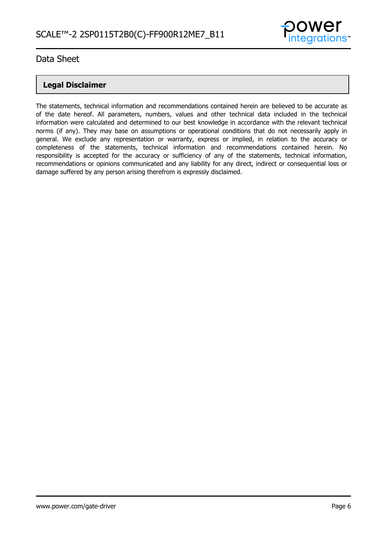

### **Legal Disclaimer**

The statements, technical information and recommendations contained herein are believed to be accurate as of the date hereof. All parameters, numbers, values and other technical data included in the technical information were calculated and determined to our best knowledge in accordance with the relevant technical norms (if any). They may base on assumptions or operational conditions that do not necessarily apply in general. We exclude any representation or warranty, express or implied, in relation to the accuracy or completeness of the statements, technical information and recommendations contained herein. No responsibility is accepted for the accuracy or sufficiency of any of the statements, technical information, recommendations or opinions communicated and any liability for any direct, indirect or consequential loss or damage suffered by any person arising therefrom is expressly disclaimed.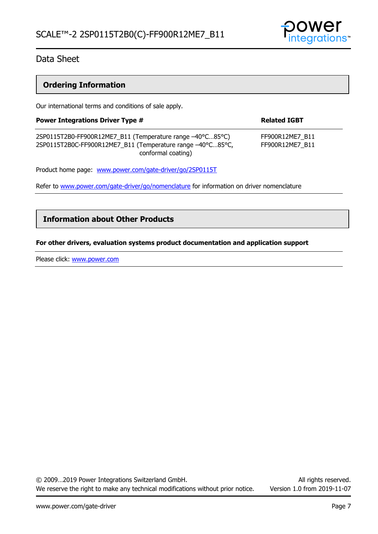

### **Ordering Information**

Our international terms and conditions of sale apply.

| <b>Power Integrations Driver Type #</b>                                                                                                       | <b>Related IGBT</b>                |  |  |
|-----------------------------------------------------------------------------------------------------------------------------------------------|------------------------------------|--|--|
| 2SP0115T2B0-FF900R12ME7_B11 (Temperature range -40°C85°C)<br>2SP0115T2B0C-FF900R12ME7_B11 (Temperature range -40°C85°C,<br>conformal coating) | FF900R12ME7 B11<br>FF900R12ME7_B11 |  |  |
| Product home page: www.power.com/gate-driver/go/2SP0115T                                                                                      |                                    |  |  |

Refer to [www.power.com/gate-driver/go/nomenclature](http://www.power.com/gate-driver/go/nomenclature) for information on driver nomenclature

### **Information about Other Products**

#### **For other drivers, evaluation systems product documentation and application support**

Please click: [www.power.com](http://www.power.com/)

© 2009…2019 Power Integrations Switzerland GmbH. All rights reserved. We reserve the right to make any technical modifications without prior notice. Version 1.0 from 2019-11-07